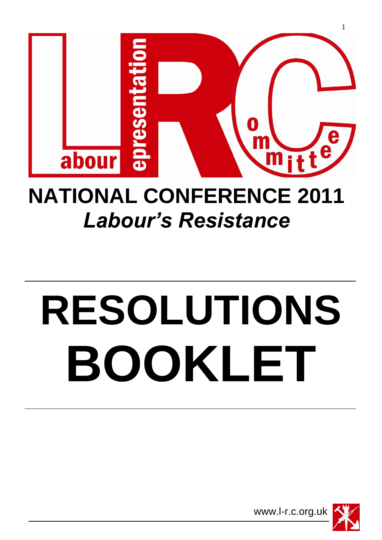

## **NATIONAL CONFERENCE 2011** *Labour's Resistance*

# **RESOLUTIONS BOOKLET**

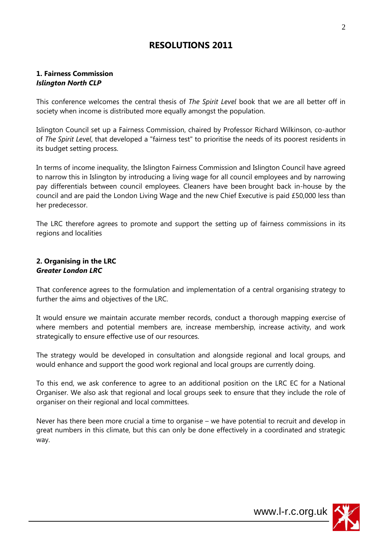### **RESOLUTIONS 2011**

#### **1. Fairness Commission** *Islington North CLP*

This conference welcomes the central thesis of *The Spirit Level* book that we are all better off in society when income is distributed more equally amongst the population.

Islington Council set up a Fairness Commission, chaired by Professor Richard Wilkinson, co-author of *The Spirit Level*, that developed a "fairness test" to prioritise the needs of its poorest residents in its budget setting process.

In terms of income inequality, the Islington Fairness Commission and Islington Council have agreed to narrow this in Islington by introducing a living wage for all council employees and by narrowing pay differentials between council employees. Cleaners have been brought back in-house by the council and are paid the London Living Wage and the new Chief Executive is paid £50,000 less than her predecessor.

The LRC therefore agrees to promote and support the setting up of fairness commissions in its regions and localities

#### **2. Organising in the LRC** *Greater London LRC*

That conference agrees to the formulation and implementation of a central organising strategy to further the aims and objectives of the LRC.

It would ensure we maintain accurate member records, conduct a thorough mapping exercise of where members and potential members are, increase membership, increase activity, and work strategically to ensure effective use of our resources.

The strategy would be developed in consultation and alongside regional and local groups, and would enhance and support the good work regional and local groups are currently doing.

To this end, we ask conference to agree to an additional position on the LRC EC for a National Organiser. We also ask that regional and local groups seek to ensure that they include the role of organiser on their regional and local committees.

Never has there been more crucial a time to organise – we have potential to recruit and develop in great numbers in this climate, but this can only be done effectively in a coordinated and strategic way.

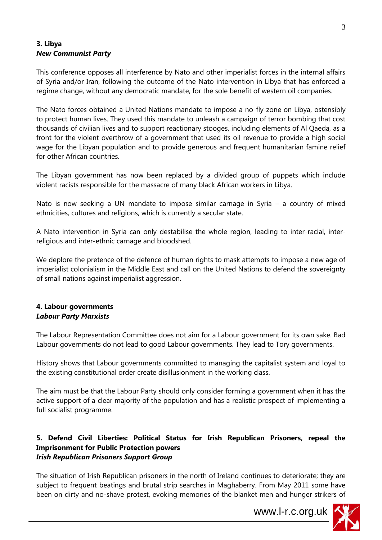#### **3. Libya** *New Communist Party*

This conference opposes all interference by Nato and other imperialist forces in the internal affairs of Syria and/or Iran, following the outcome of the Nato intervention in Libya that has enforced a regime change, without any democratic mandate, for the sole benefit of western oil companies.

The Nato forces obtained a United Nations mandate to impose a no-fly-zone on Libya, ostensibly to protect human lives. They used this mandate to unleash a campaign of terror bombing that cost thousands of civilian lives and to support reactionary stooges, including elements of Al Qaeda, as a front for the violent overthrow of a government that used its oil revenue to provide a high social wage for the Libyan population and to provide generous and frequent humanitarian famine relief for other African countries.

The Libyan government has now been replaced by a divided group of puppets which include violent racists responsible for the massacre of many black African workers in Libya.

Nato is now seeking a UN mandate to impose similar carnage in Syria – a country of mixed ethnicities, cultures and religions, which is currently a secular state.

A Nato intervention in Syria can only destabilise the whole region, leading to inter-racial, interreligious and inter-ethnic carnage and bloodshed.

We deplore the pretence of the defence of human rights to mask attempts to impose a new age of imperialist colonialism in the Middle East and call on the United Nations to defend the sovereignty of small nations against imperialist aggression.

#### **4. Labour governments** *Labour Party Marxists*

The Labour Representation Committee does not aim for a Labour government for its own sake. Bad Labour governments do not lead to good Labour governments. They lead to Tory governments.

History shows that Labour governments committed to managing the capitalist system and loyal to the existing constitutional order create disillusionment in the working class.

The aim must be that the Labour Party should only consider forming a government when it has the active support of a clear majority of the population and has a realistic prospect of implementing a full socialist programme.

#### **5. Defend Civil Liberties: Political Status for Irish Republican Prisoners, repeal the Imprisonment for Public Protection powers** *Irish Republican Prisoners Support Group*

The situation of Irish Republican prisoners in the north of Ireland continues to deteriorate; they are subject to frequent beatings and brutal strip searches in Maghaberry. From May 2011 some have been on dirty and no-shave protest, evoking memories of the blanket men and hunger strikers of

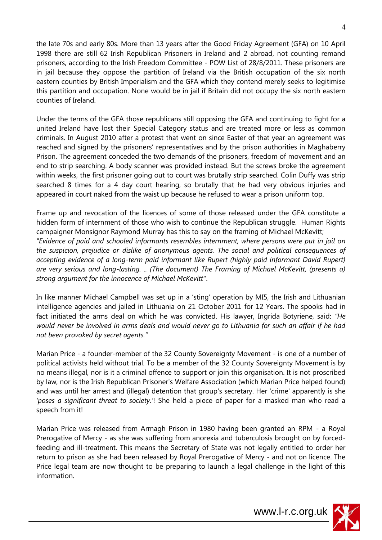the late 70s and early 80s. More than 13 years after the Good Friday Agreement (GFA) on 10 April 1998 there are still 62 Irish Republican Prisoners in Ireland and 2 abroad, not counting remand prisoners, according to the Irish Freedom Committee - POW List of 28/8/2011. These prisoners are in jail because they oppose the partition of Ireland via the British occupation of the six north eastern counties by British Imperialism and the GFA which they contend merely seeks to legitimise this partition and occupation. None would be in jail if Britain did not occupy the six north eastern counties of Ireland.

Under the terms of the GFA those republicans still opposing the GFA and continuing to fight for a united Ireland have lost their Special Category status and are treated more or less as common criminals. In August 2010 after a protest that went on since Easter of that year an agreement was reached and signed by the prisoners' representatives and by the prison authorities in Maghaberry Prison. The agreement conceded the two demands of the prisoners, freedom of movement and an end to strip searching. A body scanner was provided instead. But the screws broke the agreement within weeks, the first prisoner going out to court was brutally strip searched. Colin Duffy was strip searched 8 times for a 4 day court hearing, so brutally that he had very obvious injuries and appeared in court naked from the waist up because he refused to wear a prison uniform top.

Frame up and revocation of the licences of some of those released under the GFA constitute a hidden form of internment of those who wish to continue the Republican struggle. Human Rights campaigner Monsignor Raymond Murray has this to say on the framing of Michael McKevitt; *"Evidence of paid and schooled informants resembles internment, where persons were put in jail on the suspicion, prejudice or dislike of anonymous agents. The social and political consequences of accepting evidence of a long-term paid informant like Rupert (highly paid informant David Rupert) are very serious and long-lasting. .. (The document) The Framing of Michael McKevitt, (presents a) strong argument for the innocence of Michael McKevitt*".

In like manner Michael Campbell was set up in a "sting" operation by MI5, the Irish and Lithuanian intelligence agencies and jailed in Lithuania on 21 October 2011 for 12 Years. The spooks had in fact initiated the arms deal on which he was convicted. His lawyer, Ingrida Botyriene, said: *"He would never be involved in arms deals and would never go to Lithuania for such an affair if he had not been provoked by secret agents."*

Marian Price - a founder-member of the 32 County Sovereignty Movement - is one of a number of political activists held without trial. To be a member of the 32 County Sovereignty Movement is by no means illegal, nor is it a criminal offence to support or join this organisation. It is not proscribed by law, nor is the Irish Republican Prisoner's Welfare Association (which Marian Price helped found) and was until her arrest and (illegal) detention that group's secretary. Her 'crime' apparently is she *'poses a significant threat to society.'*! She held a piece of paper for a masked man who read a speech from it!

Marian Price was released from Armagh Prison in 1980 having been granted an RPM - a Royal Prerogative of Mercy - as she was suffering from anorexia and tuberculosis brought on by forcedfeeding and ill-treatment. This means the Secretary of State was not legally entitled to order her return to prison as she had been released by Royal Prerogative of Mercy - and not on licence. The Price legal team are now thought to be preparing to launch a legal challenge in the light of this information.

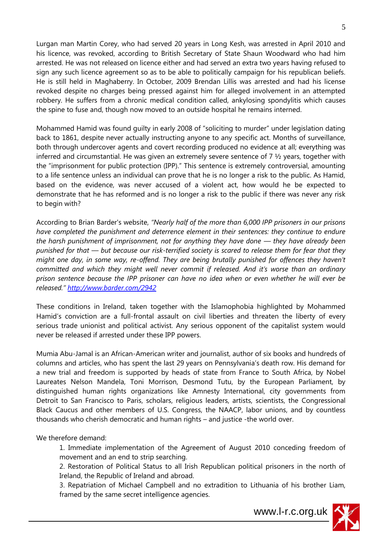Lurgan man Martin Corey, who had served 20 years in Long Kesh, was arrested in April 2010 and his licence, was revoked, according to British Secretary of State Shaun Woodward who had him arrested. He was not released on licence either and had served an extra two years having refused to sign any such licence agreement so as to be able to politically campaign for his republican beliefs. He is still held in Maghaberry. In October, 2009 Brendan Lillis was arrested and had his license revoked despite no charges being pressed against him for alleged involvement in an attempted robbery. He suffers from a chronic medical condition called, ankylosing spondylitis which causes the spine to fuse and, though now moved to an outside hospital he remains interned.

Mohammed Hamid was found guilty in early 2008 of "soliciting to murder" under legislation dating back to 1861, despite never actually instructing anyone to any specific act. Months of surveillance, both through undercover agents and covert recording produced no evidence at all; everything was inferred and circumstantial. He was given an extremely severe sentence of  $7 \frac{1}{2}$  years, together with the "imprisonment for public protection (IPP)." This sentence is extremely controversial, amounting to a life sentence unless an individual can prove that he is no longer a risk to the public. As Hamid, based on the evidence, was never accused of a violent act, how would he be expected to demonstrate that he has reformed and is no longer a risk to the public if there was never any risk to begin with?

According to Brian Barder's website, *"Nearly half of the more than 6,000 IPP prisoners in our prisons have completed the punishment and deterrence element in their sentences: they continue to endure the harsh punishment of imprisonment, not for anything they have done — they have already been punished for that — but because our risk-terrified society is scared to release them for fear that they might one day, in some way, re-offend. They are being brutally punished for offences they haven't committed and which they might well never commit if released. And it's worse than an ordinary prison sentence because the IPP prisoner can have no idea when or even whether he will ever be released." <http://www.barder.com/2942>*

These conditions in Ireland, taken together with the Islamophobia highlighted by Mohammed Hamid's conviction are a full-frontal assault on civil liberties and threaten the liberty of every serious trade unionist and political activist. Any serious opponent of the capitalist system would never be released if arrested under these IPP powers.

Mumia Abu-Jamal is an African-American writer and journalist, author of six books and hundreds of columns and articles, who has spent the last 29 years on Pennsylvania"s death row. His demand for a new trial and freedom is supported by heads of state from France to South Africa, by Nobel Laureates Nelson Mandela, Toni Morrison, Desmond Tutu, by the European Parliament, by distinguished human rights organizations like Amnesty International, city governments from Detroit to San Francisco to Paris, scholars, religious leaders, artists, scientists, the Congressional Black Caucus and other members of U.S. Congress, the NAACP, labor unions, and by countless thousands who cherish democratic and human rights – and justice -the world over.

We therefore demand:

1. Immediate implementation of the Agreement of August 2010 conceding freedom of movement and an end to strip searching.

2. Restoration of Political Status to all Irish Republican political prisoners in the north of Ireland, the Republic of Ireland and abroad.

3. Repatriation of Michael Campbell and no extradition to Lithuania of his brother Liam, framed by the same secret intelligence agencies.

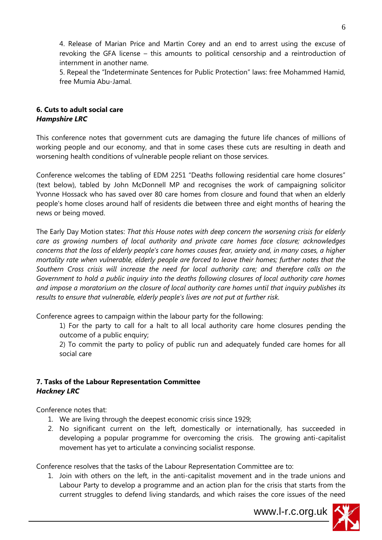4. Release of Marian Price and Martin Corey and an end to arrest using the excuse of revoking the GFA license – this amounts to political censorship and a reintroduction of internment in another name.

5. Repeal the "Indeterminate Sentences for Public Protection" laws: free Mohammed Hamid, free Mumia Abu-Jamal.

#### **6. Cuts to adult social care**  *Hampshire LRC*

This conference notes that government cuts are damaging the future life chances of millions of working people and our economy, and that in some cases these cuts are resulting in death and worsening health conditions of vulnerable people reliant on those services.

Conference welcomes the tabling of EDM 2251 "Deaths following residential care home closures" (text below), tabled by John McDonnell MP and recognises the work of campaigning solicitor Yvonne Hossack who has saved over 80 care homes from closure and found that when an elderly people's home closes around half of residents die between three and eight months of hearing the news or being moved.

The Early Day Motion states: *That this House notes with deep concern the worsening crisis for elderly care as growing numbers of local authority and private care homes face closure; acknowledges concerns that the loss of elderly people's care homes causes fear, anxiety and, in many cases, a higher mortality rate when vulnerable, elderly people are forced to leave their homes; further notes that the Southern Cross crisis will increase the need for local authority care; and therefore calls on the Government to hold a public inquiry into the deaths following closures of local authority care homes and impose a moratorium on the closure of local authority care homes until that inquiry publishes its results to ensure that vulnerable, elderly people's lives are not put at further risk.* 

Conference agrees to campaign within the labour party for the following:

1) For the party to call for a halt to all local authority care home closures pending the outcome of a public enquiry;

2) To commit the party to policy of public run and adequately funded care homes for all social care

#### **7. Tasks of the Labour Representation Committee** *Hackney LRC*

Conference notes that:

- 1. We are living through the deepest economic crisis since 1929;
- 2. No significant current on the left, domestically or internationally, has succeeded in developing a popular programme for overcoming the crisis. The growing anti-capitalist movement has yet to articulate a convincing socialist response.

Conference resolves that the tasks of the Labour Representation Committee are to:

1. Join with others on the left, in the anti-capitalist movement and in the trade unions and Labour Party to develop a programme and an action plan for the crisis that starts from the current struggles to defend living standards, and which raises the core issues of the need

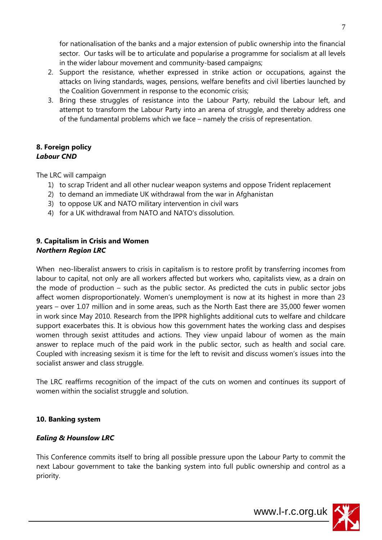for nationalisation of the banks and a major extension of public ownership into the financial sector. Our tasks will be to articulate and popularise a programme for socialism at all levels in the wider labour movement and community-based campaigns;

- 2. Support the resistance, whether expressed in strike action or occupations, against the attacks on living standards, wages, pensions, welfare benefits and civil liberties launched by the Coalition Government in response to the economic crisis;
- 3. Bring these struggles of resistance into the Labour Party, rebuild the Labour left, and attempt to transform the Labour Party into an arena of struggle, and thereby address one of the fundamental problems which we face – namely the crisis of representation.

#### **8. Foreign policy** *Labour CND*

The LRC will campaign

- 1) to scrap Trident and all other nuclear weapon systems and oppose Trident replacement
- 2) to demand an immediate UK withdrawal from the war in Afghanistan
- 3) to oppose UK and NATO military intervention in civil wars
- 4) for a UK withdrawal from NATO and NATO's dissolution.

#### **9. Capitalism in Crisis and Women** *Northern Region LRC*

When neo-liberalist answers to crisis in capitalism is to restore profit by transferring incomes from labour to capital, not only are all workers affected but workers who, capitalists view, as a drain on the mode of production – such as the public sector. As predicted the cuts in public sector jobs affect women disproportionately. Women's unemployment is now at its highest in more than 23 years – over 1.07 million and in some areas, such as the North East there are 35,000 fewer women in work since May 2010. Research from the IPPR highlights additional cuts to welfare and childcare support exacerbates this. It is obvious how this government hates the working class and despises women through sexist attitudes and actions. They view unpaid labour of women as the main answer to replace much of the paid work in the public sector, such as health and social care. Coupled with increasing sexism it is time for the left to revisit and discuss women"s issues into the socialist answer and class struggle.

The LRC reaffirms recognition of the impact of the cuts on women and continues its support of women within the socialist struggle and solution.

#### **10. Banking system**

#### *Ealing & Hounslow LRC*

This Conference commits itself to bring all possible pressure upon the Labour Party to commit the next Labour government to take the banking system into full public ownership and control as a priority.



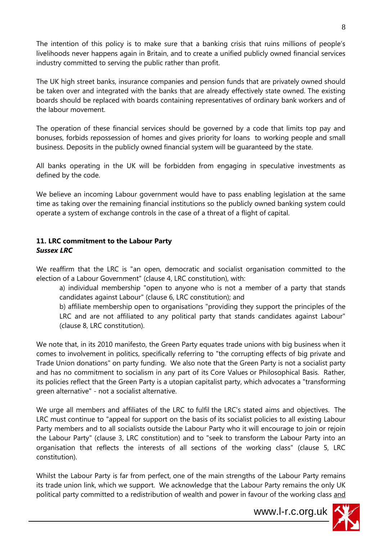The intention of this policy is to make sure that a banking crisis that ruins millions of people"s livelihoods never happens again in Britain, and to create a unified publicly owned financial services industry committed to serving the public rather than profit.

The UK high street banks, insurance companies and pension funds that are privately owned should be taken over and integrated with the banks that are already effectively state owned. The existing boards should be replaced with boards containing representatives of ordinary bank workers and of the labour movement.

The operation of these financial services should be governed by a code that limits top pay and bonuses, forbids repossession of homes and gives priority for loans to working people and small business. Deposits in the publicly owned financial system will be guaranteed by the state.

All banks operating in the UK will be forbidden from engaging in speculative investments as defined by the code.

We believe an incoming Labour government would have to pass enabling legislation at the same time as taking over the remaining financial institutions so the publicly owned banking system could operate a system of exchange controls in the case of a threat of a flight of capital.

#### **11. LRC commitment to the Labour Party** *Sussex LRC*

We reaffirm that the LRC is "an open, democratic and socialist organisation committed to the election of a Labour Government" (clause 4, LRC constitution), with:

a) individual membership "open to anyone who is not a member of a party that stands candidates against Labour" (clause 6, LRC constitution); and

b) affiliate membership open to organisations "providing they support the principles of the LRC and are not affiliated to any political party that stands candidates against Labour" (clause 8, LRC constitution).

We note that, in its 2010 manifesto, the Green Party equates trade unions with big business when it comes to involvement in politics, specifically referring to "the corrupting effects of big private and Trade Union donations" on party funding. We also note that the Green Party is not a socialist party and has no commitment to socialism in any part of its Core Values or Philosophical Basis. Rather, its policies reflect that the Green Party is a utopian capitalist party, which advocates a "transforming green alternative" - not a socialist alternative.

We urge all members and affiliates of the LRC to fulfil the LRC's stated aims and objectives. The LRC must continue to "appeal for support on the basis of its socialist policies to all existing Labour Party members and to all socialists outside the Labour Party who it will encourage to join or rejoin the Labour Party" (clause 3, LRC constitution) and to "seek to transform the Labour Party into an organisation that reflects the interests of all sections of the working class" (clause 5, LRC constitution).

Whilst the Labour Party is far from perfect, one of the main strengths of the Labour Party remains its trade union link, which we support. We acknowledge that the Labour Party remains the only UK political party committed to a redistribution of wealth and power in favour of the working class and

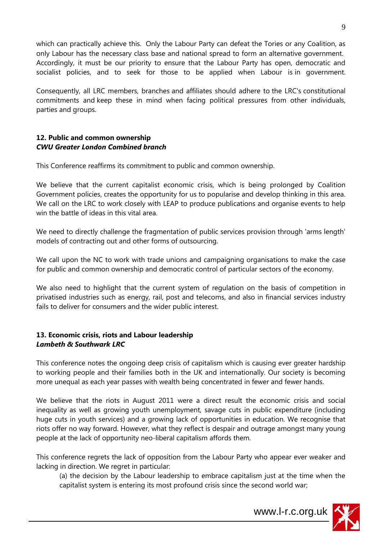which can practically achieve this. Only the Labour Party can defeat the Tories or any Coalition, as only Labour has the necessary class base and national spread to form an alternative government. Accordingly, it must be our priority to ensure that the Labour Party has open, democratic and socialist policies, and to seek for those to be applied when Labour is in government.

Consequently, all LRC members, branches and affiliates should adhere to the LRC's constitutional commitments and keep these in mind when facing political pressures from other individuals, parties and groups.

#### **12. Public and common ownership** *CWU Greater London Combined branch*

This Conference reaffirms its commitment to public and common ownership.

We believe that the current capitalist economic crisis, which is being prolonged by Coalition Government policies, creates the opportunity for us to popularise and develop thinking in this area. We call on the LRC to work closely with LEAP to produce publications and organise events to help win the battle of ideas in this vital area.

We need to directly challenge the fragmentation of public services provision through 'arms length' models of contracting out and other forms of outsourcing.

We call upon the NC to work with trade unions and campaigning organisations to make the case for public and common ownership and democratic control of particular sectors of the economy.

We also need to highlight that the current system of regulation on the basis of competition in privatised industries such as energy, rail, post and telecoms, and also in financial services industry fails to deliver for consumers and the wider public interest.

#### **13. Economic crisis, riots and Labour leadership** *Lambeth & Southwark LRC*

This conference notes the ongoing deep crisis of capitalism which is causing ever greater hardship to working people and their families both in the UK and internationally. Our society is becoming more unequal as each year passes with wealth being concentrated in fewer and fewer hands.

We believe that the riots in August 2011 were a direct result the economic crisis and social inequality as well as growing youth unemployment, savage cuts in public expenditure (including huge cuts in youth services) and a growing lack of opportunities in education. We recognise that riots offer no way forward. However, what they reflect is despair and outrage amongst many young people at the lack of opportunity neo-liberal capitalism affords them.

This conference regrets the lack of opposition from the Labour Party who appear ever weaker and lacking in direction. We regret in particular:

(a) the decision by the Labour leadership to embrace capitalism just at the time when the capitalist system is entering its most profound crisis since the second world war;

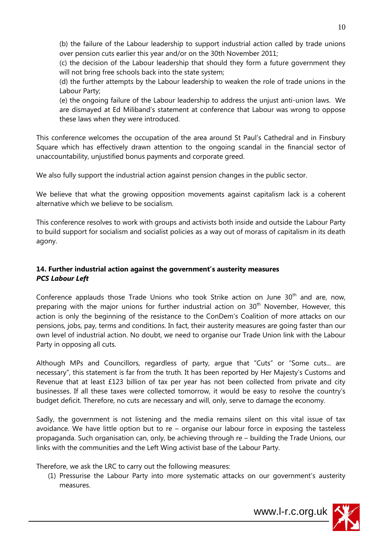(b) the failure of the Labour leadership to support industrial action called by trade unions over pension cuts earlier this year and/or on the 30th November 2011;

(c) the decision of the Labour leadership that should they form a future government they will not bring free schools back into the state system;

(d) the further attempts by the Labour leadership to weaken the role of trade unions in the Labour Party;

(e) the ongoing failure of the Labour leadership to address the unjust anti-union laws. We are dismayed at Ed Miliband"s statement at conference that Labour was wrong to oppose these laws when they were introduced.

This conference welcomes the occupation of the area around St Paul"s Cathedral and in Finsbury Square which has effectively drawn attention to the ongoing scandal in the financial sector of unaccountability, unjustified bonus payments and corporate greed.

We also fully support the industrial action against pension changes in the public sector.

We believe that what the growing opposition movements against capitalism lack is a coherent alternative which we believe to be socialism.

This conference resolves to work with groups and activists both inside and outside the Labour Party to build support for socialism and socialist policies as a way out of morass of capitalism in its death agony.

#### **14. Further industrial action against the government's austerity measures** *PCS Labour Left*

Conference applauds those Trade Unions who took Strike action on June  $30<sup>th</sup>$  and are, now, preparing with the major unions for further industrial action on 30<sup>th</sup> November, However, this action is only the beginning of the resistance to the ConDem"s Coalition of more attacks on our pensions, jobs, pay, terms and conditions. In fact, their austerity measures are going faster than our own level of industrial action. No doubt, we need to organise our Trade Union link with the Labour Party in opposing all cuts.

Although MPs and Councillors, regardless of party, argue that "Cuts" or "Some cuts... are necessary", this statement is far from the truth. It has been reported by Her Majesty"s Customs and Revenue that at least £123 billion of tax per year has not been collected from private and city businesses. If all these taxes were collected tomorrow, it would be easy to resolve the country"s budget deficit. Therefore, no cuts are necessary and will, only, serve to damage the economy.

Sadly, the government is not listening and the media remains silent on this vital issue of tax avoidance. We have little option but to re – organise our labour force in exposing the tasteless propaganda. Such organisation can, only, be achieving through re – building the Trade Unions, our links with the communities and the Left Wing activist base of the Labour Party.

Therefore, we ask the LRC to carry out the following measures:

(1) Pressurise the Labour Party into more systematic attacks on our government"s austerity measures.

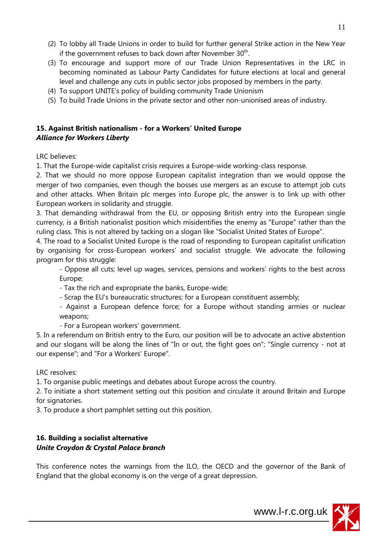- (2) To lobby all Trade Unions in order to build for further general Strike action in the New Year if the government refuses to back down after November  $30<sup>th</sup>$ .
- (3) To encourage and support more of our Trade Union Representatives in the LRC in becoming nominated as Labour Party Candidates for future elections at local and general level and challenge any cuts in public sector jobs proposed by members in the party.
- (4) To support UNITE"s policy of building community Trade Unionism
- (5) To build Trade Unions in the private sector and other non-unionised areas of industry.

#### **15. Against British nationalism - for a Workers' United Europe** *Alliance for Workers Liberty*

LRC believes:

1. That the Europe-wide capitalist crisis requires a Europe-wide working-class response.

2. That we should no more oppose European capitalist integration than we would oppose the merger of two companies, even though the bosses use mergers as an excuse to attempt job cuts and other attacks. When Britain plc merges into Europe plc, the answer is to link up with other European workers in solidarity and struggle.

3. That demanding withdrawal from the EU, or opposing British entry into the European single currency, is a British nationalist position which misidentifies the enemy as "Europe" rather than the ruling class. This is not altered by tacking on a slogan like "Socialist United States of Europe".

4. The road to a Socialist United Europe is the road of responding to European capitalist unification by organising for cross-European workers' and socialist struggle. We advocate the following program for this struggle:

- Oppose all cuts; level up wages, services, pensions and workers' rights to the best across Europe;

- Tax the rich and expropriate the banks, Europe-wide;

- Scrap the EU's bureaucratic structures; for a European constituent assembly;

- Against a European defence force; for a Europe without standing armies or nuclear weapons;

- For a European workers' government.

5. In a referendum on British entry to the Euro, our position will be to advocate an active abstention and our slogans will be along the lines of "In or out, the fight goes on"; "Single currency - not at our expense"; and "For a Workers' Europe".

LRC resolves:

1. To organise public meetings and debates about Europe across the country.

2. To initiate a short statement setting out this position and circulate it around Britain and Europe for signatories.

3. To produce a short pamphlet setting out this position.

#### **16. Building a socialist alternative** *Unite Croydon & Crystal Palace branch*

This conference notes the warnings from the ILO, the OECD and the governor of the Bank of England that the global economy is on the verge of a great depression.